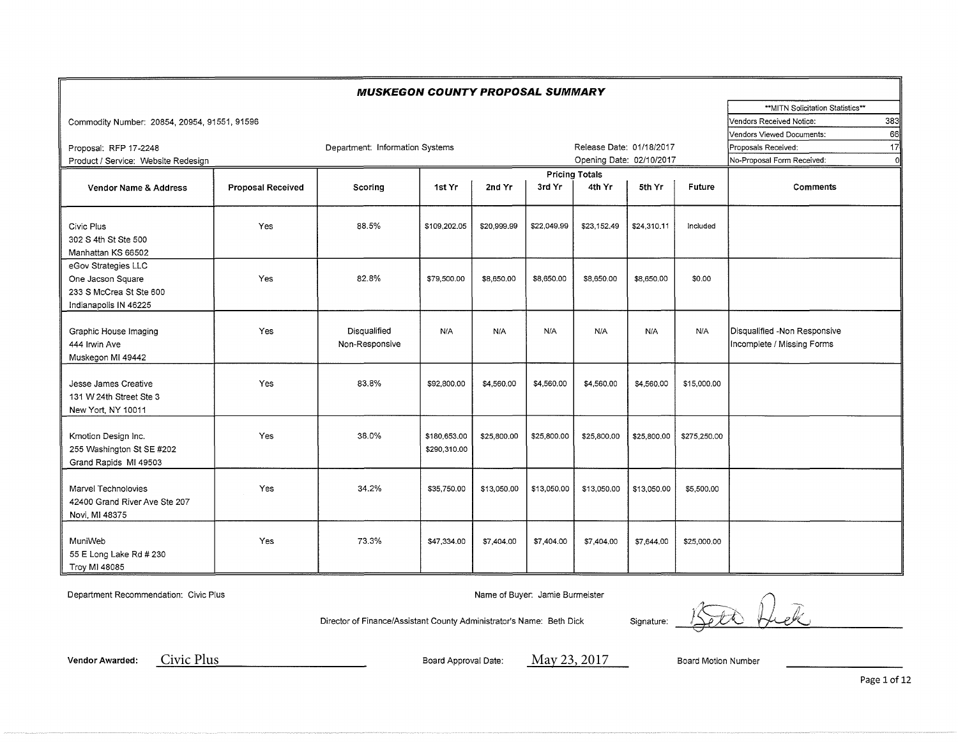|                                              |                          | <b>MUSKEGON COUNTY PROPOSAL SUMMARY</b> |              |             |             |                          |             |              |                                  |     |
|----------------------------------------------|--------------------------|-----------------------------------------|--------------|-------------|-------------|--------------------------|-------------|--------------|----------------------------------|-----|
|                                              |                          |                                         |              |             |             |                          |             |              | **MITN Solicitation Statistics** |     |
| Commodity Number: 20854, 20954, 91551, 91596 |                          |                                         |              |             |             |                          |             |              | Vendors Received Notice:         | 383 |
|                                              |                          |                                         |              |             |             |                          |             |              | Vendors Viewed Documents:        | 66  |
| Proposal: RFP 17-2248                        |                          | Department: Information Systems         |              |             |             | Release Date: 01/18/2017 |             |              | Proposals Received:              | 17  |
| Product / Service: Website Redesign          |                          |                                         |              |             |             | Opening Date: 02/10/2017 |             |              | No-Proposal Form Received:       | C   |
|                                              |                          |                                         |              |             |             | <b>Pricing Totals</b>    |             |              |                                  |     |
| Vendor Name & Address                        | <b>Proposal Received</b> | Scoring                                 | 1st Yr       | 2nd Yr      | 3rd Yr      | 4th Yr                   | 5th Yr      | Future       | <b>Comments</b>                  |     |
|                                              |                          |                                         |              |             |             |                          |             |              |                                  |     |
|                                              |                          |                                         |              |             |             |                          |             |              |                                  |     |
| Civic Plus                                   | Yes                      | 88.5%                                   | \$109,202.05 | \$20,999.99 | \$22,049.99 | \$23,152.49              | \$24,310.11 | Included     |                                  |     |
| 302 S 4th St Ste 500                         |                          |                                         |              |             |             |                          |             |              |                                  |     |
| Manhattan KS 66502                           |                          |                                         |              |             |             |                          |             |              |                                  |     |
| eGov Strategies LLC                          |                          |                                         |              |             |             |                          |             |              |                                  |     |
| One Jacson Square                            | Yes                      | 82.8%                                   | \$79,500.00  | \$8,650.00  | \$8,650.00  | \$8,650.00               | \$8,650,00  | \$0.00       |                                  |     |
| 233 S McCrea St Ste 600                      |                          |                                         |              |             |             |                          |             |              |                                  |     |
| Indianapolis IN 46225                        |                          |                                         |              |             |             |                          |             |              |                                  |     |
|                                              |                          |                                         |              |             |             |                          |             |              |                                  |     |
| Graphic House Imaging                        | Yes                      | Disqualified                            | N/A          | N/A         | N/A         | N/A                      | N/A         | N/A          | Disqualified -Non Responsive     |     |
| 444 Irwin Ave                                |                          | Non-Responsive                          |              |             |             |                          |             |              | Incomplete / Missing Forms       |     |
| Muskegon MI 49442                            |                          |                                         |              |             |             |                          |             |              |                                  |     |
|                                              |                          | 83.8%                                   |              |             |             |                          |             |              |                                  |     |
| Jesse James Creative                         | Yes                      |                                         | \$92,800.00  | \$4,560.00  | \$4,560.00  | \$4,560.00               | \$4,560.00  | \$15,000.00  |                                  |     |
| 131 W 24th Street Ste 3                      |                          |                                         |              |             |             |                          |             |              |                                  |     |
| New Yort, NY 10011                           |                          |                                         |              |             |             |                          |             |              |                                  |     |
|                                              | Yes                      | 38.0%                                   | \$180,653.00 |             | \$25,800.00 |                          | \$25,800.00 |              |                                  |     |
| Kmotion Design Inc.                          |                          |                                         | \$290,310.00 | \$25,800.00 |             | \$25,800.00              |             | \$275,250.00 |                                  |     |
| 255 Washington St SE #202                    |                          |                                         |              |             |             |                          |             |              |                                  |     |
| Grand Rapids MI 49503                        |                          |                                         |              |             |             |                          |             |              |                                  |     |
| Marvel Technolovies                          | Yes                      | 34.2%                                   | \$35,750.00  | \$13,050,00 | \$13,050.00 | \$13,050.00              | \$13,050,00 | \$5,500.00   |                                  |     |
| 42400 Grand River Ave Ste 207                |                          |                                         |              |             |             |                          |             |              |                                  |     |
| Novi, MI 48375                               |                          |                                         |              |             |             |                          |             |              |                                  |     |
|                                              |                          |                                         |              |             |             |                          |             |              |                                  |     |
| MuniWeb                                      | Yes                      | 73.3%                                   | \$47,334.00  | \$7,404.00  | \$7,404.00  | \$7,404.00               | \$7,644.00  | \$25,000.00  |                                  |     |
| 55 E Long Lake Rd # 230                      |                          |                                         |              |             |             |                          |             |              |                                  |     |
| Troy MI 48085                                |                          |                                         |              |             |             |                          |             |              |                                  |     |
|                                              |                          |                                         |              |             |             |                          |             |              |                                  |     |

Department Recommendation: Civic Plus Name of Buyer: Jamie Burmeister

Director of Finance/Assistant County Administrator's Name: Beth Dick Signature:

1500 Ruck

**Vendor Awarded:** Board Approval Date: Board Motion Number Civic Plus May 23, 2017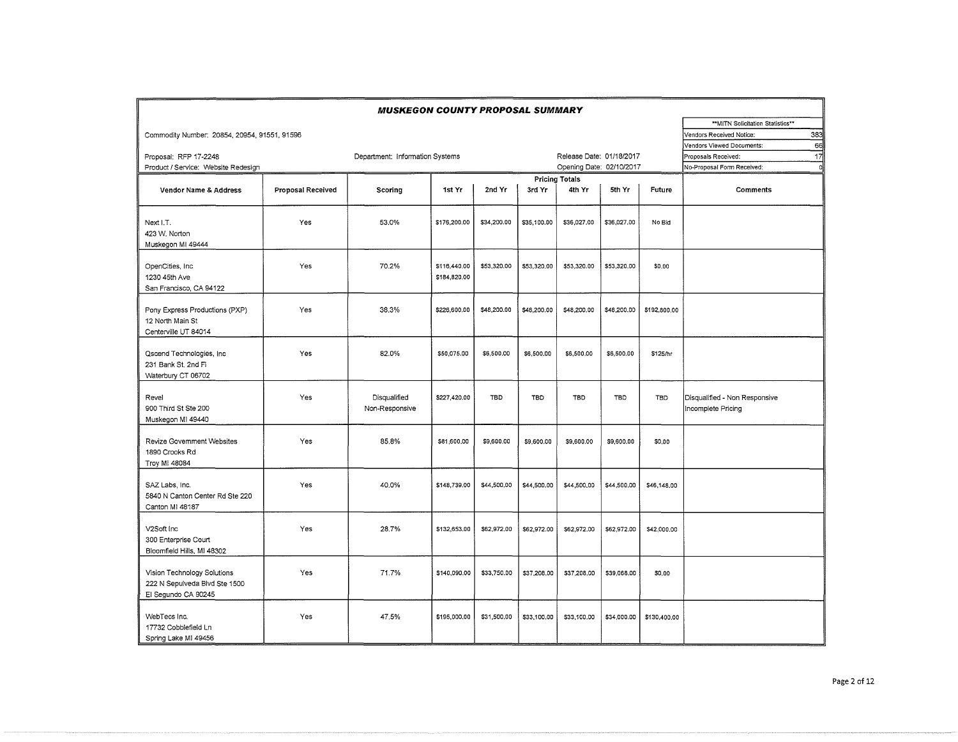|                                                                                     |                   | <b>MUSKEGON COUNTY PROPOSAL SUMMARY</b> |                              |             |             |                          |             |              |                                                     |
|-------------------------------------------------------------------------------------|-------------------|-----------------------------------------|------------------------------|-------------|-------------|--------------------------|-------------|--------------|-----------------------------------------------------|
|                                                                                     |                   |                                         |                              |             |             |                          |             |              | ** MITN Solicitation Statistics**                   |
| Commodity Number: 20854, 20954, 91551, 91596                                        |                   |                                         |                              |             |             |                          |             |              | 383<br>Vendors Received Notice:                     |
|                                                                                     |                   |                                         |                              |             |             |                          |             |              | 66<br>Vendors Viewed Documents:                     |
| Proposal: RFP 17-2248                                                               |                   | Department: Information Systems         |                              |             |             | Release Date: 01/18/2017 |             |              | 17<br>Proposals Received:                           |
| Product / Service: Website Redesign                                                 |                   |                                         |                              |             |             | Opening Date: 02/10/2017 |             |              | No-Proposal Form Received:<br>$\circ$               |
|                                                                                     |                   |                                         |                              |             |             | <b>Pricing Totals</b>    |             |              |                                                     |
| Vendor Name & Address                                                               | Proposal Received | Scoring                                 | 1st Yr                       | 2nd Yr      | 3rd Yr      | 4th Yr                   | 5th Yr      | Future       | <b>Comments</b>                                     |
| Next I.T.<br>423 W. Norton<br>Muskegon MI 49444                                     | Yes               | 53.0%                                   | \$176,200.00                 | \$34,200.00 | \$35,100.00 | \$36,027.00              | \$36,027.00 | No Bid       |                                                     |
| OpenCities, Inc.<br>1230 45th Ave<br>San Francisco, CA 94122                        | Yes               | 70.2%                                   | \$116,440.00<br>\$184,820.00 | \$53,320.00 | \$53,320.00 | \$53,320.00              | \$53,320.00 | \$0.00       |                                                     |
| Pony Express Productions (PXP)<br>12 North Main St<br>Centerville UT 84014          | Yes               | 38.3%                                   | \$226,600.00                 | \$48,200.00 | \$48,200.00 | \$48,200.00              | \$48,200.00 | \$192,800.00 |                                                     |
| Qscend Technologies, Inc.<br>231 Bank St. 2nd Fl<br>Waterbury CT 06702              | Yes               | 82.0%                                   | \$50,075.00                  | \$6,500.00  | \$6,500.00  | \$6,500.00               | \$6,500,00  | \$125/hr     |                                                     |
| Revel<br>900 Third St Ste 200<br>Muskegon MI 49440                                  | Yes               | Disqualified<br>Non-Responsive          | \$227,420.00                 | TBD         | <b>TBD</b>  | <b>TBD</b>               | TBD         | TBD          | Disqualified - Non Responsive<br>Incomplete Pricing |
| Revize Government Websites<br>1890 Crooks Rd<br>Troy MI 48084                       | Yes               | 85.8%                                   | \$81,600.00                  | \$9,600.00  | \$9,600.00  | \$9,600.00               | \$9,600.00  | \$0,00       |                                                     |
| SAZ Labs, Inc.<br>5840 N Canton Center Rd Ste 220<br>Canton MI 48187                | Yes               | 40.0%                                   | \$148,739.00                 | \$44,500.00 | \$44,500.00 | \$44,500.00              | \$44,500.00 | \$46,148.00  |                                                     |
| V2Soft Inc<br>300 Enterprise Court<br>Bloomfield Hills, MI 48302                    | Yes               | 28.7%                                   | \$132,653.00                 | \$62,972.00 | \$62,972.00 | \$62,972.00              | \$62,972.00 | \$42,000.00  |                                                     |
| Vision Technology Solutions<br>222 N Sepulveda Blvd Ste 1500<br>El Segundo CA 90245 | Yes               | 71.7%                                   | \$140,090.00                 | \$33,750.00 | \$37,208.00 | \$37,208.00              | \$39,068.00 | \$0.00       |                                                     |
| WebTecs Inc.<br>17732 Cobblefield Ln<br>Spring Lake MI 49456                        | Yes               | 47.5%                                   | \$195,000.00                 | \$31,500.00 | \$33,100.00 | \$33,100.00              | \$34,000.00 | \$130,400.00 |                                                     |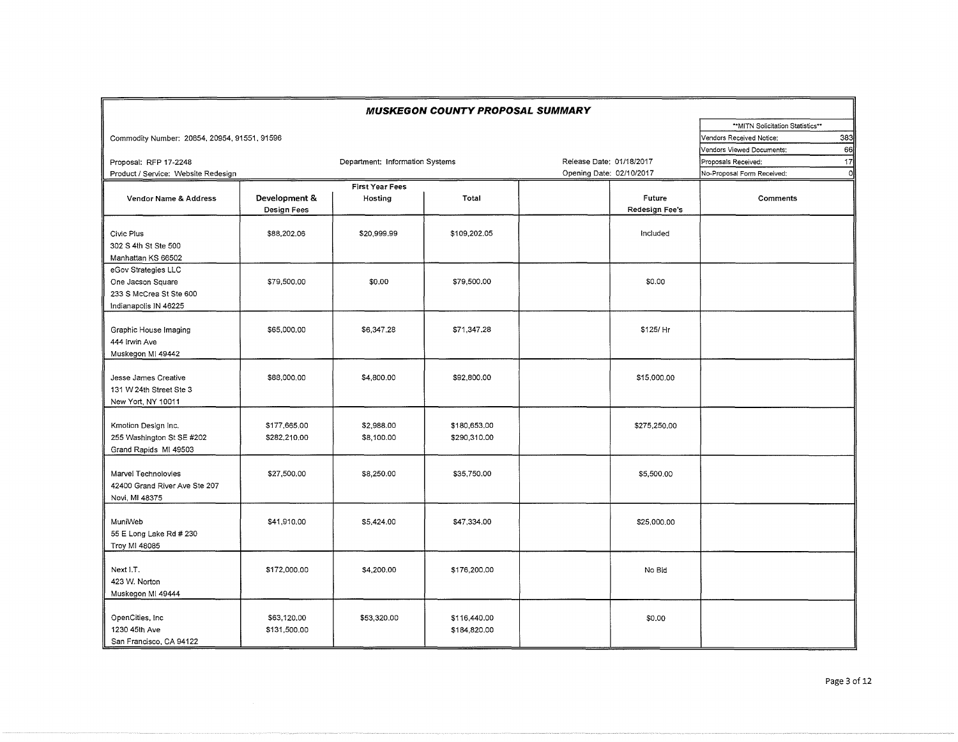|                                                                                              | <b>MUSKEGON COUNTY PROPOSAL SUMMARY</b> |                                 |                              |                          |                          |                                   |         |  |  |  |  |
|----------------------------------------------------------------------------------------------|-----------------------------------------|---------------------------------|------------------------------|--------------------------|--------------------------|-----------------------------------|---------|--|--|--|--|
|                                                                                              |                                         |                                 |                              |                          |                          | ** MITN Solicitation Statistics** |         |  |  |  |  |
| Commodity Number: 20854, 20954, 91551, 91596                                                 |                                         |                                 |                              |                          |                          | Vendors Received Notice:          | 383     |  |  |  |  |
|                                                                                              |                                         |                                 |                              |                          |                          | Vendors Viewed Documents:         | 66      |  |  |  |  |
| Proposal: RFP 17-2248                                                                        |                                         | Department: Information Systems |                              | Release Date: 01/18/2017 |                          | Proposals Received:               | 17      |  |  |  |  |
| Product / Service: Website Redesign                                                          |                                         |                                 |                              | Opening Date: 02/10/2017 |                          | No-Proposal Form Received:        | $\circ$ |  |  |  |  |
|                                                                                              |                                         | <b>First Year Fees</b>          |                              |                          |                          |                                   |         |  |  |  |  |
| Vendor Name & Address                                                                        | Development &<br>Design Fees            | Hosting                         | Total                        |                          | Future<br>Redesign Fee's | Comments                          |         |  |  |  |  |
| Civic Plus<br>302 S 4th St Ste 500<br>Manhattan KS 66502                                     | \$88,202.06                             | \$20,999.99                     | \$109,202.05                 |                          | Included                 |                                   |         |  |  |  |  |
| eGov Strategies LLC<br>One Jacson Square<br>233 S McCrea St Ste 600<br>Indianapolis IN 46225 | \$79,500.00                             | \$0.00                          | \$79,500.00                  |                          | \$0.00                   |                                   |         |  |  |  |  |
| Graphic House Imaging<br>444 Irwin Ave<br>Muskegon MI 49442                                  | \$65,000.00                             | \$6,347.28                      | \$71,347.28                  |                          | \$125/ Hr                |                                   |         |  |  |  |  |
| Jesse James Creative<br>131 W 24th Street Ste 3<br>New Yort, NY 10011                        | \$88,000.00                             | \$4,800.00                      | \$92,800.00                  |                          | \$15,000.00              |                                   |         |  |  |  |  |
| Kmotion Design Inc.<br>255 Washington St SE #202<br>Grand Rapids MI 49503                    | \$177,665.00<br>\$282.210.00            | \$2,988.00<br>\$8,100.00        | \$180,653.00<br>\$290,310.00 |                          | \$275,250.00             |                                   |         |  |  |  |  |
| Marvel Technolovies<br>42400 Grand River Ave Ste 207<br>Novi, MI 48375                       | \$27,500.00                             | \$8,250.00                      | \$35,750.00                  |                          | \$5,500.00               |                                   |         |  |  |  |  |
| MuniWeb<br>55 E Long Lake Rd # 230<br>Troy MI 48085                                          | \$41,910.00                             | \$5,424.00                      | \$47,334.00                  |                          | \$25,000.00              |                                   |         |  |  |  |  |
| Next I.T.<br>423 W. Norton<br>Muskegon MI 49444                                              | \$172,000.00                            | \$4,200.00                      | \$176,200.00                 |                          | No Bid                   |                                   |         |  |  |  |  |
| OpenCities, Inc.<br>1230 45th Ave<br>San Francisco, CA 94122                                 | \$63.120.00<br>\$131,500.00             | \$53,320,00                     | \$116,440.00<br>\$184,820.00 |                          | \$0.00                   |                                   |         |  |  |  |  |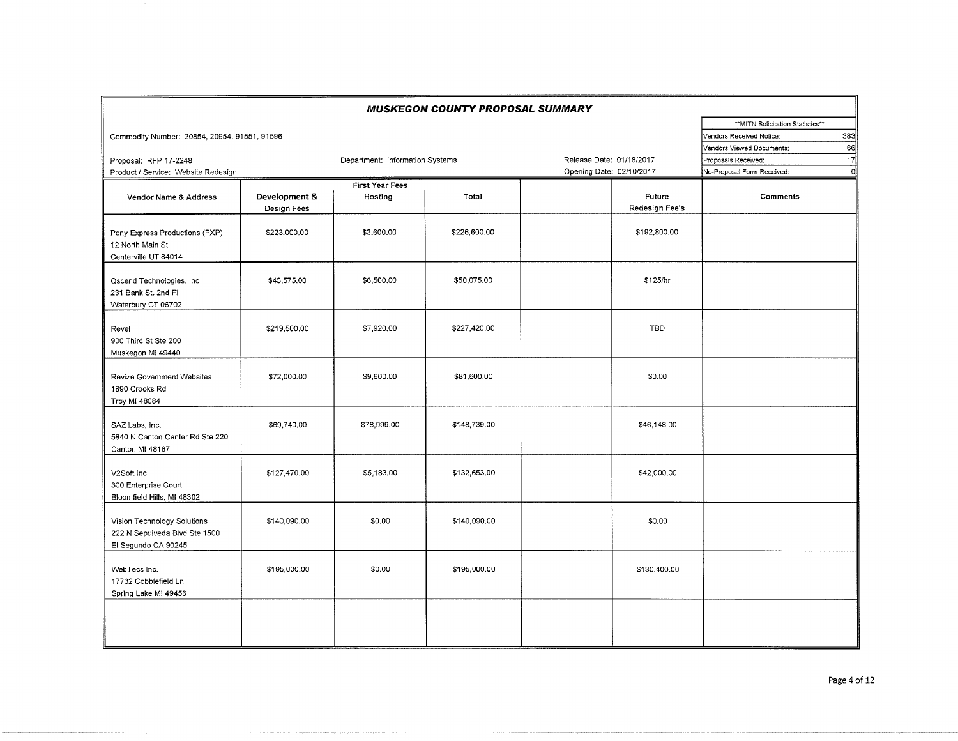|                                                                                     |                              |                                 | <b>MUSKEGON COUNTY PROPOSAL SUMMARY</b> |                          |                                 |                                        |
|-------------------------------------------------------------------------------------|------------------------------|---------------------------------|-----------------------------------------|--------------------------|---------------------------------|----------------------------------------|
|                                                                                     |                              |                                 |                                         |                          |                                 | ** MITN Solicitation Statistics**      |
| Commodity Number: 20854, 20954, 91551, 91596                                        |                              |                                 |                                         |                          |                                 | 383<br>Vendors Received Notice:        |
|                                                                                     |                              |                                 |                                         |                          |                                 | 66<br>Vendors Viewed Documents:        |
| Proposal: RFP 17-2248                                                               |                              | Department: Information Systems |                                         | Release Date: 01/18/2017 |                                 | 17<br>Proposals Received:              |
| Product / Service: Website Redesign                                                 |                              |                                 |                                         | Opening Date: 02/10/2017 |                                 | $\Omega$<br>No-Proposal Form Received: |
|                                                                                     |                              | <b>First Year Fees</b>          |                                         |                          |                                 |                                        |
| Vendor Name & Address                                                               | Development &<br>Design Fees | Hosting                         | Total                                   |                          | Future<br><b>Redesign Fee's</b> | <b>Comments</b>                        |
| Pony Express Productions (PXP)<br>12 North Main St<br>Centerville UT 84014          | \$223,000.00                 | \$3,600.00                      | \$226,600.00                            |                          | \$192,800.00                    |                                        |
| Qscend Technologies, Inc.<br>231 Bank St. 2nd Fl<br>Waterbury CT 06702              | \$43,575.00                  | \$6,500.00                      | \$50,075.00                             |                          | \$125/hr                        |                                        |
| Revel<br>900 Third St Ste 200<br>Muskegon MI 49440                                  | \$219,500.00                 | \$7,920.00                      | \$227,420.00                            |                          | <b>TBD</b>                      |                                        |
| <b>Revize Government Websites</b><br>1890 Crooks Rd<br>Troy MI 48084                | \$72,000.00                  | \$9,600.00                      | \$81,600.00                             |                          | \$0.00                          |                                        |
| SAZ Labs. Inc.<br>5840 N Canton Center Rd Ste 220<br>Canton MI 48187                | \$69,740.00                  | \$78,999.00                     | \$148,739.00                            |                          | \$46,148.00                     |                                        |
| V2Soft Inc<br>300 Enterprise Court<br>Bloomfield Hills, MI 48302                    | \$127,470.00                 | \$5,183.00                      | \$132,653.00                            |                          | \$42,000.00                     |                                        |
| Vision Technology Solutions<br>222 N Sepulveda Blvd Ste 1500<br>El Segundo CA 90245 | \$140,090.00                 | \$0.00                          | \$140,090.00                            |                          | \$0.00                          |                                        |
| WebTecs Inc.<br>17732 Cobblefield Ln<br>Spring Lake MI 49456                        | \$195,000.00                 | \$0,00                          | \$195,000.00                            |                          | \$130,400.00                    |                                        |
|                                                                                     |                              |                                 |                                         |                          |                                 |                                        |

 $\sim$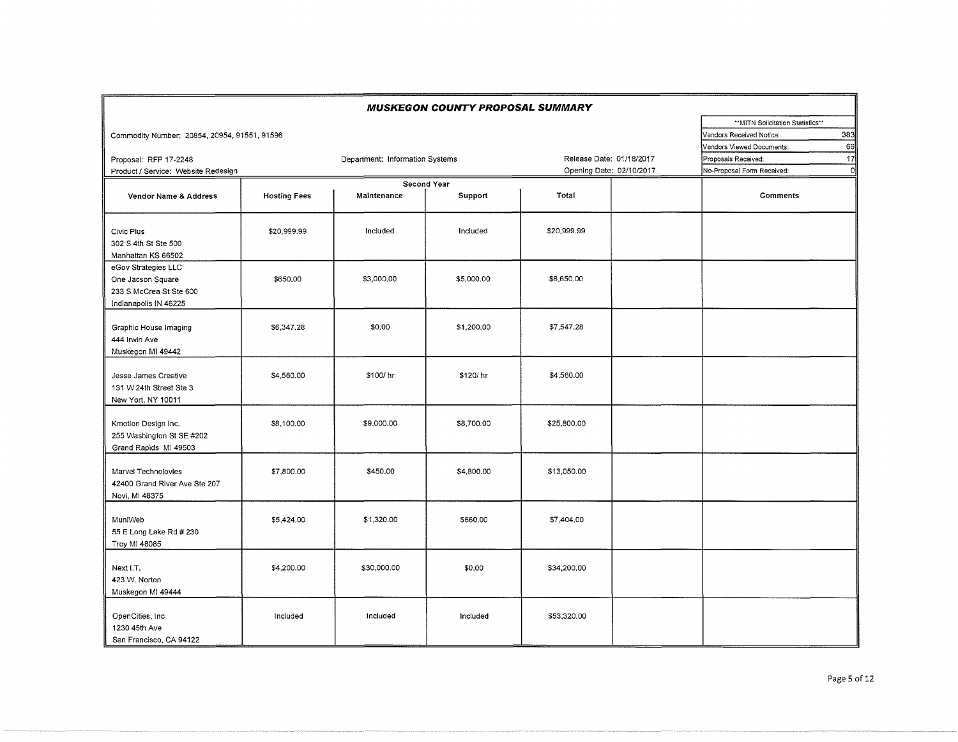|                                                                                              |                     |                                 | <b>MUSKEGON COUNTY PROPOSAL SUMMARY</b> |                                                      |                                                                                                         |
|----------------------------------------------------------------------------------------------|---------------------|---------------------------------|-----------------------------------------|------------------------------------------------------|---------------------------------------------------------------------------------------------------------|
| Commodity Number: 20854, 20954, 91551, 91596                                                 |                     |                                 |                                         |                                                      | ** MITN Solicitation Statistics**<br>383<br>Vendors Received Notice:<br>66<br>Vendors Viewed Documents: |
| Proposal: RFP 17-2248<br>Product / Service: Website Redesign                                 |                     | Department: Information Systems |                                         | Release Date: 01/18/2017<br>Opening Date: 02/10/2017 | 17<br>Proposals Received:<br>$\mathbf{0}$<br>No-Proposal Form Received:                                 |
| Vendor Name & Address                                                                        | <b>Hosting Fees</b> | Maintenance                     | Second Year<br>Support                  | Total                                                | Comments                                                                                                |
| Civic Plus<br>302 S 4th St Ste 500<br>Manhattan KS 66502                                     | \$20,999.99         | Included                        | Included                                | \$20,999.99                                          |                                                                                                         |
| eGov Strategies LLC<br>One Jacson Square<br>233 S McCrea St Ste 600<br>Indianapolis IN 46225 | \$650.00            | \$3,000.00                      | \$5,000.00                              | \$8,650.00                                           |                                                                                                         |
| Graphic House Imaging<br>444 Irwin Ave<br>Muskegon MI 49442                                  | \$6,347.28          | \$0.00                          | \$1,200.00                              | \$7,547.28                                           |                                                                                                         |
| Jesse James Creative<br>131 W 24th Street Ste 3<br>New Yort, NY 10011                        | \$4,560.00          | \$100/hr                        | \$120/hr                                | \$4,560.00                                           |                                                                                                         |
| Kmotion Design Inc.<br>255 Washington St SE #202<br>Grand Rapids MI 49503                    | \$8,100.00          | \$9,000.00                      | \$8,700.00                              | \$25,800.00                                          |                                                                                                         |
| Marvel Technolovies<br>42400 Grand River Ave Ste 207<br>Novi, MI 48375                       | \$7,800.00          | \$450.00                        | \$4,800.00                              | \$13,050.00                                          |                                                                                                         |
| MuniWeb<br>55 E Long Lake Rd # 230<br>Troy MI 48085                                          | \$5,424.00          | \$1,320.00                      | \$660.00                                | \$7,404,00                                           |                                                                                                         |
| Next I.T.<br>423 W. Norton<br>Muskegon MI 49444                                              | \$4,200.00          | \$30,000.00                     | \$0.00                                  | \$34,200.00                                          |                                                                                                         |
| OpenCities, Inc.<br>1230 45th Ave<br>San Francisco, CA 94122                                 | Included            | Included                        | Included                                | \$53,320.00                                          |                                                                                                         |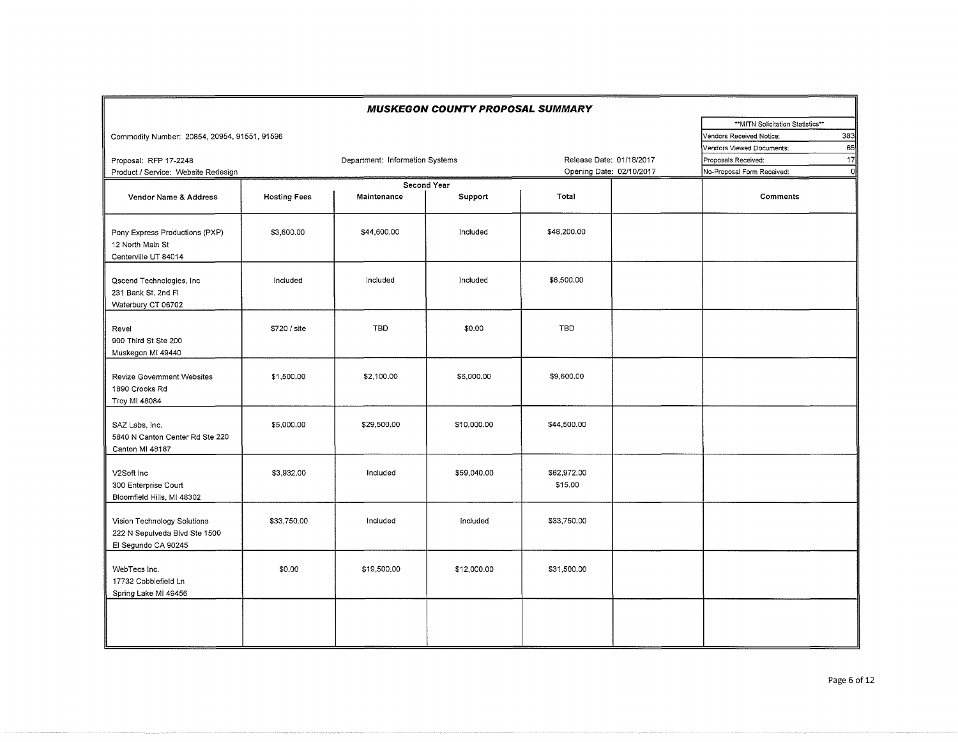|                                                                                     |                     |                                 | <b>MUSKEGON COUNTY PROPOSAL SUMMARY</b> |                          |                                  |         |
|-------------------------------------------------------------------------------------|---------------------|---------------------------------|-----------------------------------------|--------------------------|----------------------------------|---------|
|                                                                                     |                     |                                 |                                         |                          | **MITN Solicitation Statistics** |         |
| Commodity Number: 20854, 20954, 91551, 91596                                        |                     |                                 |                                         |                          | Vendors Received Notice:         | 383     |
|                                                                                     |                     |                                 |                                         |                          | Vendors Viewed Documents:        | 66      |
| Proposal: RFP 17-2248                                                               |                     | Department: Information Systems |                                         | Release Date: 01/18/2017 | Proposals Received:              | 17      |
| Product / Service: Website Redesign                                                 |                     |                                 |                                         | Opening Date: 02/10/2017 | No-Proposal Form Received:       | $\circ$ |
|                                                                                     |                     |                                 | Second Year                             |                          |                                  |         |
| Vendor Name & Address                                                               | <b>Hosting Fees</b> | Maintenance                     | Support                                 | Total                    | Comments                         |         |
| Pony Express Productions (PXP)<br>12 North Main St<br>Centerville UT 84014          | \$3,600.00          | \$44,600.00                     | Included                                | \$48,200.00              |                                  |         |
| Qscend Technologies, Inc.<br>231 Bank St. 2nd Fl<br>Waterbury CT 06702              | Included            | Included                        | Included                                | \$6,500,00               |                                  |         |
| Revel<br>900 Third St Ste 200<br>Muskegon MI 49440                                  | \$720 / site        | TBD                             | \$0.00                                  | TBD                      |                                  |         |
| Revize Govemment Websites<br>1890 Crooks Rd<br>Troy MI 48084                        | \$1,500.00          | \$2,100.00                      | \$6,000.00                              | \$9,600.00               |                                  |         |
| SAZ Labs, Inc.<br>5840 N Canton Center Rd Ste 220<br>Canton MI 48187                | \$5,000.00          | \$29,500.00                     | \$10,000.00                             | \$44,500.00              |                                  |         |
| V2Soft Inc<br>300 Enterprise Court<br>Bloomfield Hills, MI 48302                    | \$3,932.00          | Included                        | \$59,040.00                             | \$62,972.00<br>\$15.00   |                                  |         |
| Vision Technology Solutions<br>222 N Sepulveda Blvd Ste 1500<br>El Segundo CA 90245 | \$33,750.00         | Included                        | Included                                | \$33,750.00              |                                  |         |
| WebTecs Inc.<br>17732 Cobblefield Ln<br>Spring Lake MI 49456                        | \$0.00              | \$19,500.00                     | \$12,000.00                             | \$31,500.00              |                                  |         |
|                                                                                     |                     |                                 |                                         |                          |                                  |         |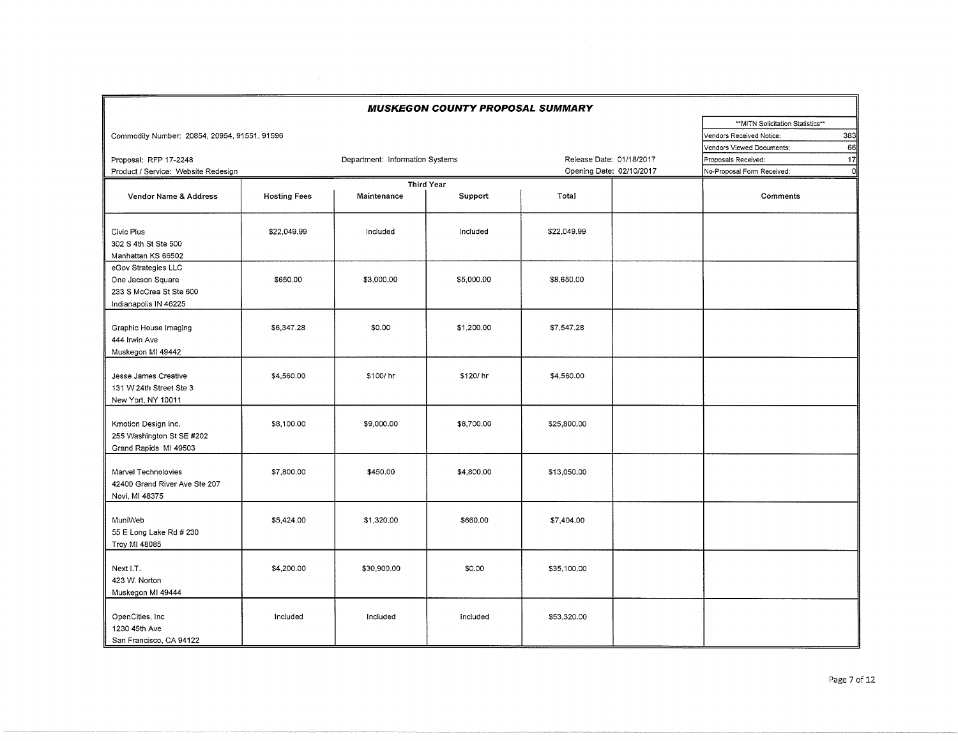|                                                                                              |                     |                                 | <b>MUSKEGON COUNTY PROPOSAL SUMMARY</b> |                          |  |                                   |     |
|----------------------------------------------------------------------------------------------|---------------------|---------------------------------|-----------------------------------------|--------------------------|--|-----------------------------------|-----|
|                                                                                              |                     |                                 |                                         |                          |  | ** MITN Solicitation Statistics** |     |
| Commodity Number: 20854, 20954, 91551, 91596                                                 |                     |                                 |                                         |                          |  | Vendors Received Notice:          | 383 |
|                                                                                              |                     |                                 |                                         |                          |  | Vendors Viewed Documents;         | 66  |
| Proposal: RFP 17-2248                                                                        |                     | Department: Information Systems |                                         | Release Date: 01/18/2017 |  | Proposals Received:               | 17  |
| Product / Service: Website Redesign                                                          |                     |                                 |                                         | Opening Date: 02/10/2017 |  | No-Proposal Form Received:        | o   |
|                                                                                              | <b>Third Year</b>   |                                 |                                         |                          |  |                                   |     |
| Vendor Name & Address                                                                        | <b>Hosting Fees</b> | Maintenance                     | Support                                 | Total                    |  | Comments                          |     |
| Civic Plus<br>302 S 4th St Ste 500<br>Manhattan KS 66502                                     | \$22,049.99         | Included                        | Included                                | \$22,049.99              |  |                                   |     |
| eGov Strategies LLC<br>One Jacson Square<br>233 S McCrea St Ste 600<br>Indianapolis IN 46225 | \$650.00            | \$3,000.00                      | \$5,000.00                              | \$8,650.00               |  |                                   |     |
| Graphic House Imaging<br>444 Irwin Ave<br>Muskegon MI 49442                                  | \$6,347.28          | \$0.00                          | \$1,200.00                              | \$7,547.28               |  |                                   |     |
| Jesse James Creative<br>131 W 24th Street Ste 3<br>New Yort, NY 10011                        | \$4,560.00          | \$100/hr                        | \$120/hr                                | \$4,560.00               |  |                                   |     |
| Kmotion Design Inc.<br>255 Washington St SE #202<br>Grand Rapids MI 49503                    | \$8,100.00          | \$9,000.00                      | \$8,700.00                              | \$25,800.00              |  |                                   |     |
| Marvel Technolovies<br>42400 Grand River Ave Ste 207<br>Novi, MI 48375                       | \$7,800.00          | \$450.00                        | \$4,800.00                              | \$13,050.00              |  |                                   |     |
| MuniWeb<br>55 E Long Lake Rd # 230<br>Troy MI 48085                                          | \$5,424.00          | \$1,320.00                      | \$660.00                                | \$7,404.00               |  |                                   |     |
| Next I.T.<br>423 W. Norton<br>Muskegon MI 49444                                              | \$4,200.00          | \$30,900.00                     | \$0.00                                  | \$35,100.00              |  |                                   |     |
| OpenCities, Inc.<br>1230 45th Ave<br>San Francisco, CA 94122                                 | Included            | Included                        | Included                                | \$53,320.00              |  |                                   |     |

 $\sim 10^{11}$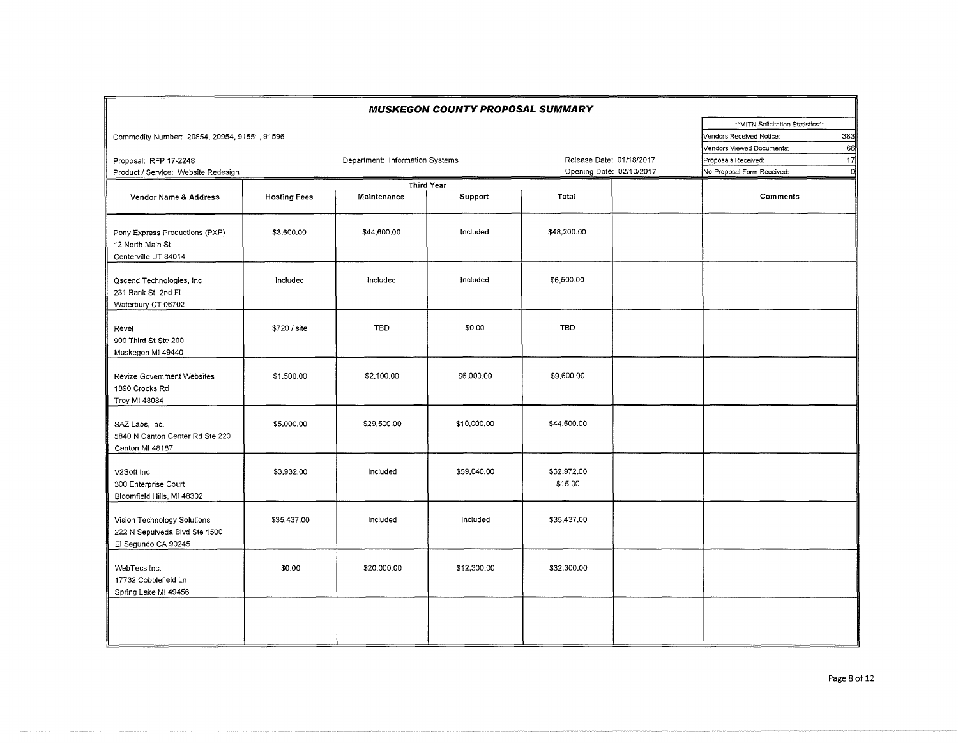|                                                                                     |                     |                                 | <b>MUSKEGON COUNTY PROPOSAL SUMMARY</b> |                                                      |                                                                                                        |
|-------------------------------------------------------------------------------------|---------------------|---------------------------------|-----------------------------------------|------------------------------------------------------|--------------------------------------------------------------------------------------------------------|
| Commodity Number: 20854, 20954, 91551, 91596                                        |                     |                                 |                                         |                                                      | **MITN Solicitation Statistics**<br>Vendors Received Notice:<br>383<br>66<br>Vendors Viewed Documents: |
| Proposal: RFP 17-2248<br>Product / Service: Website Redesign                        |                     | Department: Information Systems |                                         | Release Date: 01/18/2017<br>Opening Date: 02/10/2017 | Proposals Received:<br>17<br>No-Proposal Form Received:<br>ol                                          |
| Vendor Name & Address                                                               | <b>Hosting Fees</b> | Maintenance                     | <b>Third Year</b><br>Support            | Total                                                | Comments                                                                                               |
| Pony Express Productions (PXP)<br>12 North Main St<br>Centerville UT 84014          | \$3,600.00          | \$44,600.00                     | Included                                | \$48,200.00                                          |                                                                                                        |
| Qscend Technologies, Inc.<br>231 Bank St. 2nd Fl<br>Waterbury CT 06702              | Included            | Included                        | Included                                | \$6,500.00                                           |                                                                                                        |
| Revel<br>900 Third St Ste 200<br>Muskegon MI 49440                                  | \$720 / site        | <b>TBD</b>                      | \$0.00                                  | <b>TBD</b>                                           |                                                                                                        |
| Revize Government Websites<br>1890 Crooks Rd<br>Troy MI 48084                       | \$1,500,00          | \$2,100.00                      | \$6,000.00                              | \$9,600.00                                           |                                                                                                        |
| SAZ Labs, Inc.<br>5840 N Canton Center Rd Ste 220<br>Canton MI 48187                | \$5,000.00          | \$29,500.00                     | \$10,000.00                             | \$44,500.00                                          |                                                                                                        |
| V2Soft Inc<br>300 Enterprise Court<br>Bloomfield Hills, MI 48302                    | \$3,932.00          | Included                        | \$59,040.00                             | \$62,972.00<br>\$15.00                               |                                                                                                        |
| Vision Technology Solutions<br>222 N Sepulveda Blvd Ste 1500<br>El Segundo CA 90245 | \$35,437.00         | Included                        | Included                                | \$35,437.00                                          |                                                                                                        |
| WebTecs Inc.<br>17732 Cobblefield Ln<br>Spring Lake MI 49456                        | \$0.00              | \$20,000.00                     | \$12,300.00                             | \$32,300.00                                          |                                                                                                        |
|                                                                                     |                     |                                 |                                         |                                                      |                                                                                                        |

 $\mathcal{A}^{\text{out}}_{\text{out}}$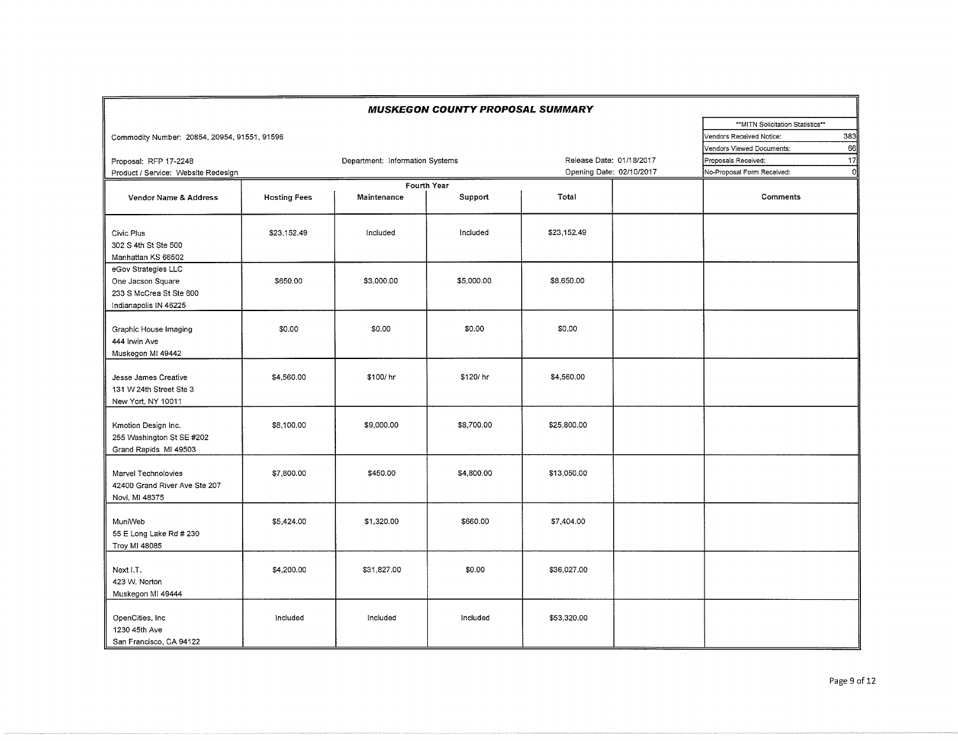|                                                                                              |                     |                                 | <b>MUSKEGON COUNTY PROPOSAL SUMMARY</b> |                          |  |                                   |              |
|----------------------------------------------------------------------------------------------|---------------------|---------------------------------|-----------------------------------------|--------------------------|--|-----------------------------------|--------------|
|                                                                                              |                     |                                 |                                         |                          |  | ** MITN Solicitation Statistics** |              |
| Commodity Number: 20854, 20954, 91551, 91596                                                 |                     |                                 |                                         |                          |  | Vendors Received Notice:          | 383          |
|                                                                                              |                     |                                 |                                         |                          |  | Vendors Viewed Documents:         | 66           |
| Proposal: RFP 17-2248                                                                        |                     | Department: Information Systems |                                         | Release Date: 01/18/2017 |  | Proposals Received:               | 17           |
| Product / Service: Website Redesign                                                          |                     |                                 |                                         | Opening Date: 02/10/2017 |  | No-Proposal Form Received:        | $\mathbf{0}$ |
|                                                                                              |                     | Fourth Year                     |                                         |                          |  |                                   |              |
| Vendor Name & Address                                                                        | <b>Hosting Fees</b> | Maintenance                     | Support                                 | Total                    |  | Comments                          |              |
| Civic Plus<br>302 S 4th St Ste 500<br>Manhattan KS 66502                                     | \$23,152.49         | Included                        | Included                                | \$23,152.49              |  |                                   |              |
| eGov Strategies LLC<br>One Jacson Square<br>233 S McCrea St Ste 600<br>Indianapolis IN 46225 | \$650,00            | \$3,000.00                      | \$5,000.00                              | \$8,650.00               |  |                                   |              |
| Graphic House Imaging<br>444 Irwin Ave<br>Muskegon MI 49442                                  | \$0.00              | \$0.00                          | \$0.00                                  | \$0.00                   |  |                                   |              |
| Jesse James Creative<br>131 W 24th Street Ste 3<br>New Yort, NY 10011                        | \$4,560.00          | \$100/hr                        | \$120/hr                                | \$4,560.00               |  |                                   |              |
| Kmotion Design Inc.<br>255 Washington St SE #202<br>Grand Rapids MI 49503                    | \$8,100.00          | \$9,000.00                      | \$8,700.00                              | \$25,800.00              |  |                                   |              |
| Marvel Technolovies<br>42400 Grand River Ave Ste 207<br>Novi, MI 48375                       | \$7,800.00          | \$450.00                        | \$4,800.00                              | \$13,050.00              |  |                                   |              |
| MuniWeb<br>55 E Long Lake Rd # 230<br>Troy MI 48085                                          | \$5,424.00          | \$1,320.00                      | \$660.00                                | \$7,404.00               |  |                                   |              |
| Next I.T.<br>423 W. Norton<br>Muskegon MI 49444                                              | \$4,200,00          | \$31,827.00                     | \$0.00                                  | \$36,027.00              |  |                                   |              |
| OpenCities, Inc<br>1230 45th Ave<br>San Francisco, CA 94122                                  | Included            | Included                        | Included                                | \$53,320.00              |  |                                   |              |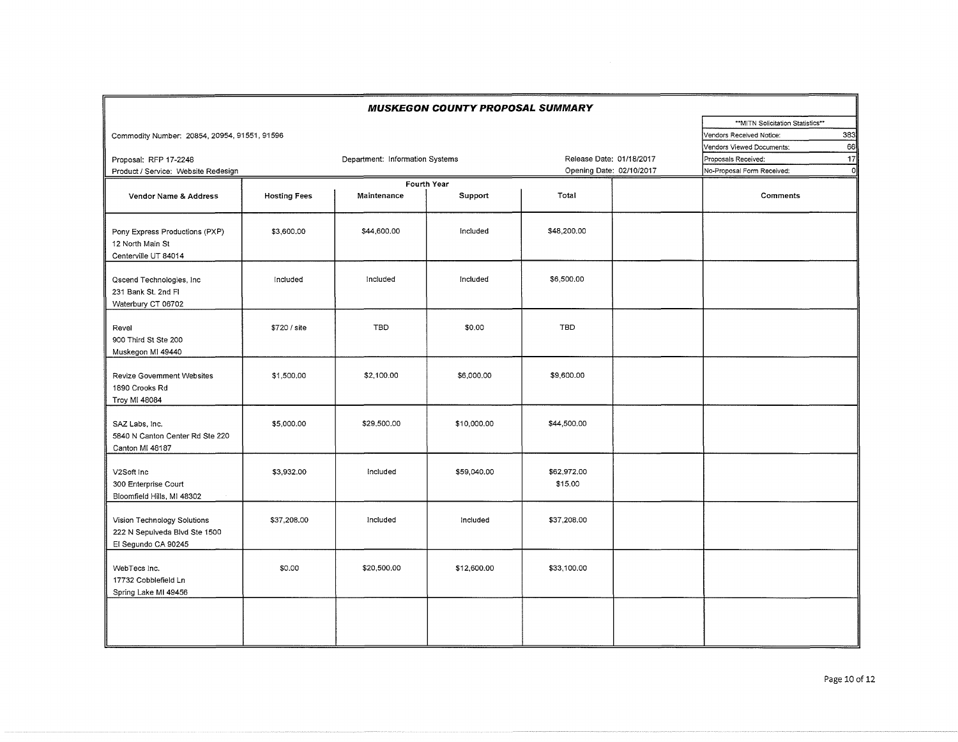|                                                                                     |                     |                                 | <b>MUSKEGON COUNTY PROPOSAL SUMMARY</b> |                          |                                  |
|-------------------------------------------------------------------------------------|---------------------|---------------------------------|-----------------------------------------|--------------------------|----------------------------------|
|                                                                                     |                     |                                 |                                         |                          | **MITN Solicitation Statistics** |
| Commodity Number: 20854, 20954, 91551, 91596                                        |                     |                                 |                                         |                          | 383<br>Vendors Received Notice:  |
|                                                                                     |                     |                                 |                                         |                          | 66<br>Vendors Viewed Documents:  |
| Proposal: RFP 17-2248                                                               |                     | Department: Information Systems |                                         | Release Date: 01/18/2017 | 17<br>Proposals Received:        |
| Product / Service: Website Redesign                                                 |                     |                                 |                                         | Opening Date: 02/10/2017 | No-Proposal Form Received:       |
| Vendor Name & Address                                                               | <b>Hosting Fees</b> | Maintenance                     | Fourth Year<br>Support                  | Total                    | Comments                         |
| Pony Express Productions (PXP)<br>12 North Main St<br>Centerville UT 84014          | \$3,600.00          | \$44,600.00                     | Included                                | \$48,200.00              |                                  |
| Qscend Technologies, Inc.<br>231 Bank St. 2nd Fl<br>Waterbury CT 06702              | Included            | Included                        | Included                                | \$6,500.00               |                                  |
| Revel<br>900 Third St Ste 200<br>Muskegon MI 49440                                  | \$720 / site        | <b>TBD</b>                      | \$0.00                                  | <b>TBD</b>               |                                  |
| <b>Revize Government Websites</b><br>1890 Crooks Rd<br>Troy MI 48084                | \$1,500.00          | \$2,100.00                      | \$6,000.00                              | \$9,600.00               |                                  |
| SAZ Labs, Inc.<br>5840 N Canton Center Rd Ste 220<br>Canton MI 48187                | \$5,000.00          | \$29,500.00                     | \$10,000.00                             | \$44,500.00              |                                  |
| V2Soft Inc<br>300 Enterprise Court<br>Bloomfield Hills, MI 48302                    | \$3,932.00          | Included                        | \$59,040.00                             | \$62,972.00<br>\$15.00   |                                  |
| Vision Technology Solutions<br>222 N Sepulveda Blvd Ste 1500<br>El Segundo CA 90245 | \$37,208.00         | Included                        | Included                                | \$37,208.00              |                                  |
| WebTecs Inc.<br>17732 Cobblefield Ln<br>Spring Lake MI 49456                        | \$0.00              | \$20,500.00                     | \$12,600.00                             | \$33,100.00              |                                  |
|                                                                                     |                     |                                 |                                         |                          |                                  |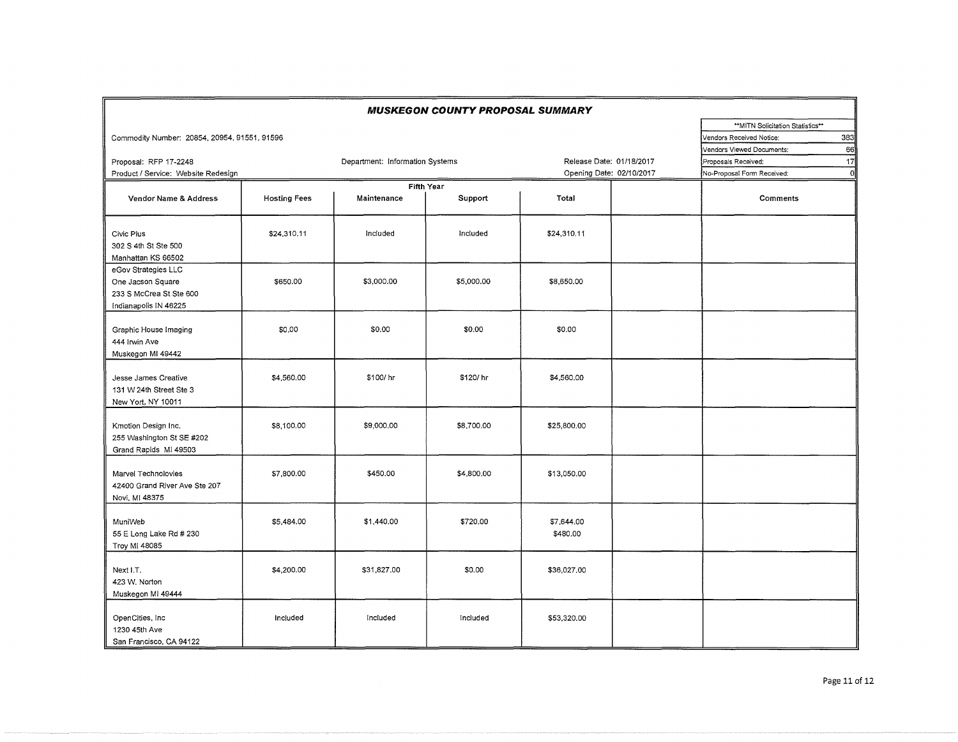|                                                                                              |                     |                                 | <b>MUSKEGON COUNTY PROPOSAL SUMMARY</b> |                          |                                  |
|----------------------------------------------------------------------------------------------|---------------------|---------------------------------|-----------------------------------------|--------------------------|----------------------------------|
|                                                                                              |                     |                                 |                                         |                          | **MITN Solicitation Statistics** |
| Commodity Number: 20854, 20954, 91551, 91596                                                 |                     |                                 |                                         |                          | 383<br>Vendors Received Notice:  |
|                                                                                              |                     |                                 |                                         |                          | 66<br>Vendors Viewed Documents:  |
| Proposal: RFP 17-2248                                                                        |                     | Department: Information Systems |                                         | Release Date: 01/18/2017 | 17<br>Proposals Received:        |
| Product / Service: Website Redesign                                                          |                     |                                 |                                         | Opening Date: 02/10/2017 | o<br>No-Proposal Form Received:  |
| Vendor Name & Address                                                                        | <b>Hosting Fees</b> | Maintenance                     | <b>Fifth Year</b><br>Support            | Total                    | Comments                         |
| Civic Plus<br>302 S 4th St Ste 500<br>Manhattan KS 66502                                     | \$24,310.11         | Included                        | Included                                | \$24,310.11              |                                  |
| eGov Strategies LLC<br>One Jacson Square<br>233 S McCrea St Ste 600<br>Indianapolis IN 46225 | \$650.00            | \$3,000.00                      | \$5,000.00                              | \$8,650.00               |                                  |
| Graphic House Imaging<br>444 Irwin Ave<br>Muskegon MI 49442                                  | \$0.00              | \$0.00                          | \$0.00                                  | \$0.00                   |                                  |
| Jesse James Creative<br>131 W 24th Street Ste 3<br>New Yort, NY 10011                        | \$4,560.00          | \$100/hr                        | \$120/hr                                | \$4,560.00               |                                  |
| Kmotion Design Inc.<br>255 Washington St SE #202<br>Grand Rapids MI 49503                    | \$8,100.00          | \$9,000.00                      | \$8,700.00                              | \$25,800.00              |                                  |
| Marvel Technolovies<br>42400 Grand River Ave Ste 207<br>Novi, MI 48375                       | \$7,800.00          | \$450.00                        | \$4,800.00                              | \$13,050.00              |                                  |
| MuniWeb<br>55 E Long Lake Rd # 230<br>Troy MI 48085                                          | \$5,484.00          | \$1,440.00                      | \$720.00                                | \$7,644.00<br>\$480.00   |                                  |
| Next I.T.<br>423 W. Norton<br>Muskegon MI 49444                                              | \$4,200.00          | \$31,827.00                     | \$0.00                                  | \$36,027.00              |                                  |
| OpenCities, Inc.<br>1230 45th Ave<br>San Francisco, CA 94122                                 | Included            | Included                        | Included                                | \$53,320.00              |                                  |